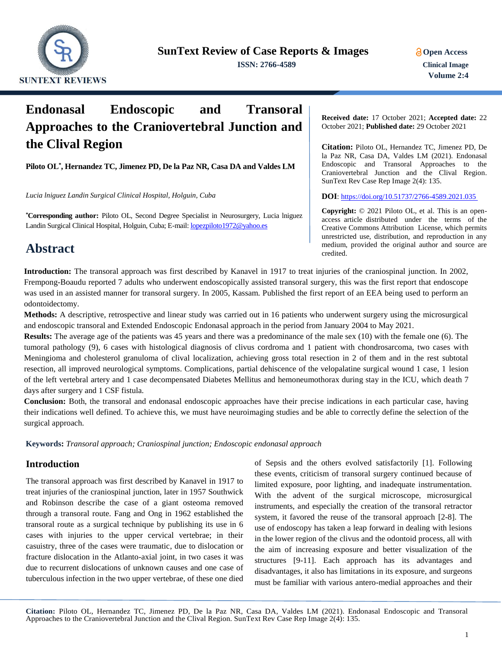

**ISSN: 2766-4589 Clinical Image**

# **Endonasal Endoscopic and Transoral Approaches to the Craniovertebral Junction and the Clival Region**

**Piloto OL\* , Hernandez TC, Jimenez PD, De la Paz NR, Casa DA and Valdes LM**

*Lucia lniguez Landin Surgical Clinical Hospital, Holguin, Cuba*

**\*Corresponding author:** Piloto OL, Second Degree Specialist in Neurosurgery, Lucia lniguez Landin Surgical Clinical Hospital, Holguin, Cuba; E-mail[: lopezpiloto1972@yahoo.es](mailto:lopezpiloto1972@yahoo.es)

## **Abstract**

**Received date:** 17 October 2021; **Accepted date:** 22 October 2021; **Published date:** 29 October 2021

**Citation:** Piloto OL, Hernandez TC, Jimenez PD, De la Paz NR, Casa DA, Valdes LM (2021). Endonasal Endoscopic and Transoral Approaches to the Craniovertebral Junction and the Clival Region. SunText Rev Case Rep Image 2(4): 135.

**DOI**:<https://doi.org/10.51737/2766-4589.2021.035>

**Copyright:** © 2021 Piloto OL, et al. This is an openaccess article distributed under the terms of the Creative Commons Attribution License, which permits unrestricted use, distribution, and reproduction in any medium, provided the original author and source are credited.

**Introduction:** The transoral approach was first described by Kanavel in 1917 to treat injuries of the craniospinal junction. In 2002, Frempong-Boaudu reported 7 adults who underwent endoscopically assisted transoral surgery, this was the first report that endoscope was used in an assisted manner for transoral surgery. In 2005, Kassam. Published the first report of an EEA being used to perform an odontoidectomy.

**Methods:** A descriptive, retrospective and linear study was carried out in 16 patients who underwent surgery using the microsurgical and endoscopic transoral and Extended Endoscopic Endonasal approach in the period from January 2004 to May 2021.

**Results:** The average age of the patients was 45 years and there was a predominance of the male sex (10) with the female one (6). The tumoral pathology (9), 6 cases with histological diagnosis of clivus cordroma and 1 patient with chondrosarcoma, two cases with Meningioma and cholesterol granuloma of clival localization, achieving gross total resection in 2 of them and in the rest subtotal resection, all improved neurological symptoms. Complications, partial dehiscence of the velopalatine surgical wound 1 case, 1 lesion of the left vertebral artery and 1 case decompensated Diabetes Mellitus and hemoneumothorax during stay in the ICU, which death 7 days after surgery and 1 CSF fistula.

**Conclusion:** Both, the transoral and endonasal endoscopic approaches have their precise indications in each particular case, having their indications well defined. To achieve this, we must have neuroimaging studies and be able to correctly define the selection of the surgical approach.

**Keywords:** *Transoral approach; Craniospinal junction; Endoscopic endonasal approach*

## **Introduction**

The transoral approach was first described by Kanavel in 1917 to treat injuries of the craniospinal junction, later in 1957 Southwick and Robinson describe the case of a giant osteoma removed through a transoral route. Fang and Ong in 1962 established the transoral route as a surgical technique by publishing its use in 6 cases with injuries to the upper cervical vertebrae; in their casuistry, three of the cases were traumatic, due to dislocation or fracture dislocation in the Atlanto-axial joint, in two cases it was due to recurrent dislocations of unknown causes and one case of tuberculous infection in the two upper vertebrae, of these one died

of Sepsis and the others evolved satisfactorily [1]. Following these events, criticism of transoral surgery continued because of limited exposure, poor lighting, and inadequate instrumentation. With the advent of the surgical microscope, microsurgical instruments, and especially the creation of the transoral retractor system, it favored the reuse of the transoral approach [2-8]. The use of endoscopy has taken a leap forward in dealing with lesions in the lower region of the clivus and the odontoid process, all with the aim of increasing exposure and better visualization of the structures [9-11]. Each approach has its advantages and disadvantages, it also has limitations in its exposure, and surgeons must be familiar with various antero-medial approaches and their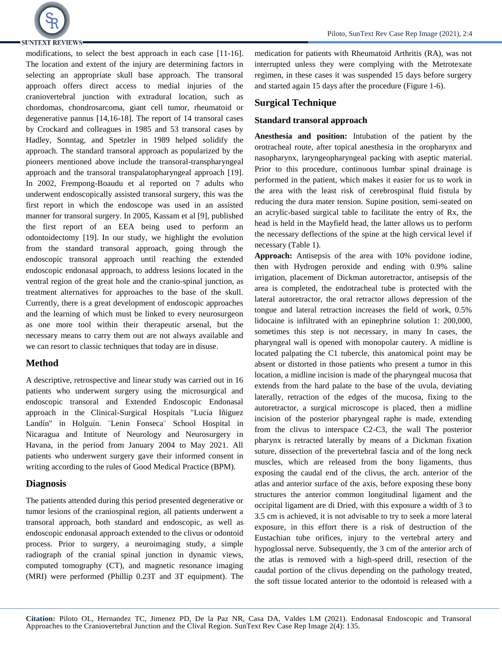

## **SUNTEXT REVIEWS-**

modifications, to select the best approach in each case [11-16]. The location and extent of the injury are determining factors in selecting an appropriate skull base approach. The transoral approach offers direct access to medial injuries of the craniovertebral junction with extradural location, such as chordomas, chondrosarcoma, giant cell tumor, rheumatoid or degenerative pannus [14,16-18]. The report of 14 transoral cases by Crockard and colleagues in 1985 and 53 transoral cases by Hadley, Sonntag, and Spetzler in 1989 helped solidify the approach. The standard transoral approach as popularized by the pioneers mentioned above include the transoral-transpharyngeal approach and the transoral transpalatopharyngeal approach [19]. In 2002, Frempong-Boaudu et al reported on 7 adults who underwent endoscopically assisted transoral surgery, this was the first report in which the endoscope was used in an assisted manner for transoral surgery. In 2005, Kassam et al [9], published the first report of an EEA being used to perform an odontoidectomy [19]. In our study, we highlight the evolution from the standard transoral approach, going through the endoscopic transoral approach until reaching the extended endoscopic endonasal approach, to address lesions located in the ventral region of the great hole and the cranio-spinal junction, as treatment alternatives for approaches to the base of the skull. Currently, there is a great development of endoscopic approaches and the learning of which must be linked to every neurosurgeon as one more tool within their therapeutic arsenal, but the necessary means to carry them out are not always available and we can resort to classic techniques that today are in disuse.

## **Method**

A descriptive, retrospective and linear study was carried out in 16 patients who underwent surgery using the microsurgical and endoscopic transoral and Extended Endoscopic Endonasal approach in the Clinical-Surgical Hospitals "Lucía Iñiguez Landín" in Holguín. ¨Lenin Fonseca¨ School Hospital in Nicaragua and Intitute of Neurology and Neurosurgery in Havana, in the period from January 2004 to May 2021. All patients who underwent surgery gave their informed consent in writing according to the rules of Good Medical Practice (BPM).

## **Diagnosis**

The patients attended during this period presented degenerative or tumor lesions of the craniospinal region, all patients underwent a transoral approach, both standard and endoscopic, as well as endoscopic endonasal approach extended to the clivus or odontoid process. Prior to surgery, a neuroimaging study, a simple radiograph of the cranial spinal junction in dynamic views, computed tomography (CT), and magnetic resonance imaging (MRI) were performed (Phillip 0.23T and 3T equipment). The

medication for patients with Rheumatoid Arthritis (RA), was not interrupted unless they were complying with the Metrotexate regimen, in these cases it was suspended 15 days before surgery and started again 15 days after the procedure (Figure 1-6).

## **Surgical Technique**

### **Standard transoral approach**

**Anesthesia and position:** Intubation of the patient by the orotracheal route, after topical anesthesia in the oropharynx and nasopharynx, laryngeopharyngeal packing with aseptic material. Prior to this procedure, continuous lumbar spinal drainage is performed in the patient, which makes it easier for us to work in the area with the least risk of cerebrospinal fluid fistula by reducing the dura mater tension. Supine position, semi-seated on an acrylic-based surgical table to facilitate the entry of Rx, the head is held in the Mayfield head, the latter allows us to perform the necessary deflections of the spine at the high cervical level if necessary (Table 1).

**Approach:** Antisepsis of the area with 10% povidone iodine, then with Hydrogen peroxide and ending with 0.9% saline irrigation, placement of Dickman autoretractor, antisepsis of the area is completed, the endotracheal tube is protected with the lateral autoretractor, the oral retractor allows depression of the tongue and lateral retraction increases the field of work, 0.5% lidocaine is infiltrated with an epinephrine solution 1: 200,000, sometimes this step is not necessary, in many In cases, the pharyngeal wall is opened with monopolar cautery. A midline is located palpating the C1 tubercle, this anatomical point may be absent or distorted in those patients who present a tumor in this location, a midline incision is made of the pharyngeal mucosa that extends from the hard palate to the base of the uvula, deviating laterally, retraction of the edges of the mucosa, fixing to the autoretractor, a surgical microscope is placed, then a midline incision of the posterior pharyngeal raphe is made, extending from the clivus to interspace C2-C3, the wall The posterior pharynx is retracted laterally by means of a Dickman fixation suture, dissection of the prevertebral fascia and of the long neck muscles, which are released from the bony ligaments, thus exposing the caudal end of the clivus, the arch. anterior of the atlas and anterior surface of the axis, before exposing these bony structures the anterior common longitudinal ligament and the occipital ligament are di Dried, with this exposure a width of 3 to 3.5 cm is achieved, it is not advisable to try to seek a more lateral exposure, in this effort there is a risk of destruction of the Eustachian tube orifices, injury to the vertebral artery and hypoglossal nerve. Subsequently, the 3 cm of the anterior arch of the atlas is removed with a high-speed drill, resection of the caudal portion of the clivus depending on the pathology treated, the soft tissue located anterior to the odontoid is released with a

Piloto, SunText Rev Case Rep Image (2021), 2:4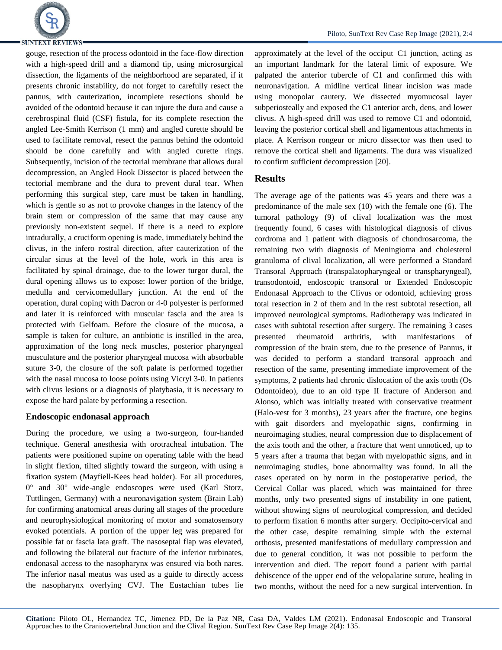

Piloto, SunText Rev Case Rep Image (2021), 2:4

gouge, resection of the process odontoid in the face-flow direction with a high-speed drill and a diamond tip, using microsurgical dissection, the ligaments of the neighborhood are separated, if it presents chronic instability, do not forget to carefully resect the pannus, with cauterization, incomplete resections should be avoided of the odontoid because it can injure the dura and cause a cerebrospinal fluid (CSF) fistula, for its complete resection the angled Lee-Smith Kerrison (1 mm) and angled curette should be used to facilitate removal, resect the pannus behind the odontoid should be done carefully and with angled curette rings. Subsequently, incision of the tectorial membrane that allows dural decompression, an Angled Hook Dissector is placed between the tectorial membrane and the dura to prevent dural tear. When performing this surgical step, care must be taken in handling, which is gentle so as not to provoke changes in the latency of the brain stem or compression of the same that may cause any previously non-existent sequel. If there is a need to explore intradurally, a cruciform opening is made, immediately behind the clivus, in the infero rostral direction, after cauterization of the circular sinus at the level of the hole, work in this area is facilitated by spinal drainage, due to the lower turgor dural, the dural opening allows us to expose: lower portion of the bridge, medulla and cervicomedullary junction. At the end of the operation, dural coping with Dacron or 4-0 polyester is performed and later it is reinforced with muscular fascia and the area is protected with Gelfoam. Before the closure of the mucosa, a sample is taken for culture, an antibiotic is instilled in the area, approximation of the long neck muscles, posterior pharyngeal musculature and the posterior pharyngeal mucosa with absorbable suture 3-0, the closure of the soft palate is performed together with the nasal mucosa to loose points using Vicryl 3-0. In patients with clivus lesions or a diagnosis of platybasia, it is necessary to expose the hard palate by performing a resection.

#### **Endoscopic endonasal approach**

During the procedure, we using a two-surgeon, four-handed technique. General anesthesia with orotracheal intubation. The patients were positioned supine on operating table with the head in slight flexion, tilted slightly toward the surgeon, with using a fixation system (Mayfiell-Kees head holder). For all procedures, 0° and 30° wide-angle endoscopes were used (Karl Storz, Tuttlingen, Germany) with a neuronavigation system (Brain Lab) for confirming anatomical areas during all stages of the procedure and neurophysiological monitoring of motor and somatosensory evoked potentials. A portion of the upper leg was prepared for possible fat or fascia lata graft. The nasoseptal flap was elevated, and following the bilateral out fracture of the inferior turbinates, endonasal access to the nasopharynx was ensured via both nares. The inferior nasal meatus was used as a guide to directly access the nasopharynx overlying CVJ. The Eustachian tubes lie

approximately at the level of the occiput–C1 junction, acting as an important landmark for the lateral limit of exposure. We palpated the anterior tubercle of C1 and confirmed this with neuronavigation. A midline vertical linear incision was made using monopolar cautery. We dissected myomucosal layer subperiosteally and exposed the C1 anterior arch, dens, and lower clivus. A high-speed drill was used to remove C1 and odontoid, leaving the posterior cortical shell and ligamentous attachments in place. A Kerrison rongeur or micro dissector was then used to remove the cortical shell and ligaments. The dura was visualized to confirm sufficient decompression [20].

#### **Results**

The average age of the patients was 45 years and there was a predominance of the male sex (10) with the female one (6). The tumoral pathology (9) of clival localization was the most frequently found, 6 cases with histological diagnosis of clivus cordroma and 1 patient with diagnosis of chondrosarcoma, the remaining two with diagnosis of Meningioma and cholesterol granuloma of clival localization, all were performed a Standard Transoral Approach (transpalatopharyngeal or transpharyngeal), transodontoid, endoscopic transoral or Extended Endoscopic Endonasal Approach to the Clivus or odontoid, achieving gross total resection in 2 of them and in the rest subtotal resection, all improved neurological symptoms. Radiotherapy was indicated in cases with subtotal resection after surgery. The remaining 3 cases presented rheumatoid arthritis, with manifestations of compression of the brain stem, due to the presence of Pannus, it was decided to perform a standard transoral approach and resection of the same, presenting immediate improvement of the symptoms, 2 patients had chronic dislocation of the axis tooth (Os Odontoideo), due to an old type II fracture of Anderson and Alonso, which was initially treated with conservative treatment (Halo-vest for 3 months), 23 years after the fracture, one begins with gait disorders and myelopathic signs, confirming in neuroimaging studies, neural compression due to displacement of the axis tooth and the other, a fracture that went unnoticed, up to 5 years after a trauma that began with myelopathic signs, and in neuroimaging studies, bone abnormality was found. In all the cases operated on by norm in the postoperative period, the Cervical Collar was placed, which was maintained for three months, only two presented signs of instability in one patient, without showing signs of neurological compression, and decided to perform fixation 6 months after surgery. Occipito-cervical and the other case, despite remaining simple with the external orthosis, presented manifestations of medullary compression and due to general condition, it was not possible to perform the intervention and died. The report found a patient with partial dehiscence of the upper end of the velopalatine suture, healing in two months, without the need for a new surgical intervention. In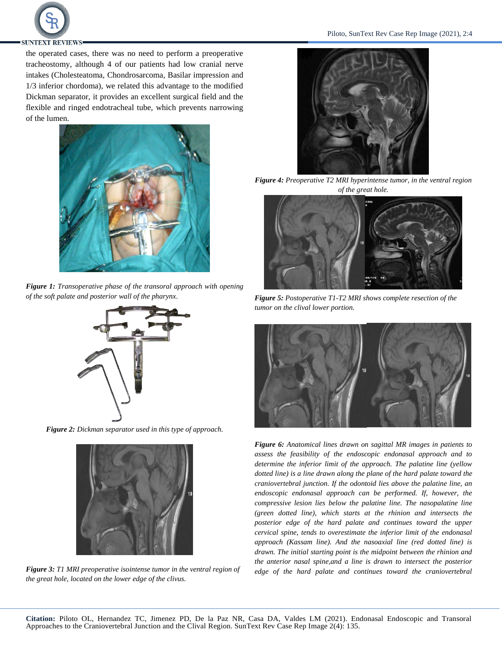

the operated cases, there was no need to perform a preoperative tracheostomy, although 4 of our patients had low cranial nerve intakes (Cholesteatoma, Chondrosarcoma, Basilar impression and 1/3 inferior chordoma), we related this advantage to the modified Dickman separator, it provides an excellent surgical field and the flexible and ringed endotracheal tube, which prevents narrowing of the lumen.



*Figure 1: Transoperative phase of the transoral approach with opening of the soft palate and posterior wall of the pharynx.*



*Figure 2: Dickman separator used in this type of approach.*



*Figure 3: T1 MRI preoperative isointense tumor in the ventral region of the great hole, located on the lower edge of the clivus.* 



*Figure 4: Preoperative T2 MRI hyperintense tumor, in the ventral region of the great hole.*



*Figure 5: Postoperative T1-T2 MRI shows complete resection of the tumor on the clival lower portion.*



*Figure 6: Anatomical lines drawn on sagittal MR images in patients to assess the feasibility of the endoscopic endonasal approach and to determine the inferior limit of the approach. The palatine line (yellow dotted line) is a line drawn along the plane of the hard palate toward the craniovertebral junction. If the odontoid lies above the palatine line, an endoscopic endonasal approach can be performed. If, however, the compressive lesion lies below the palatine line. The nasopalatine line (green dotted line), which starts at the rhinion and intersects the posterior edge of the hard palate and continues toward the upper cervical spine, tends to overestimate the inferior limit of the endonasal approach (Kassam line). And the nasoaxial line (red dotted line) is drawn. The initial starting point is the midpoint between the rhinion and the anterior nasal spine,and a line is drawn to intersect the posterior edge of the hard palate and continues toward the craniovertebral*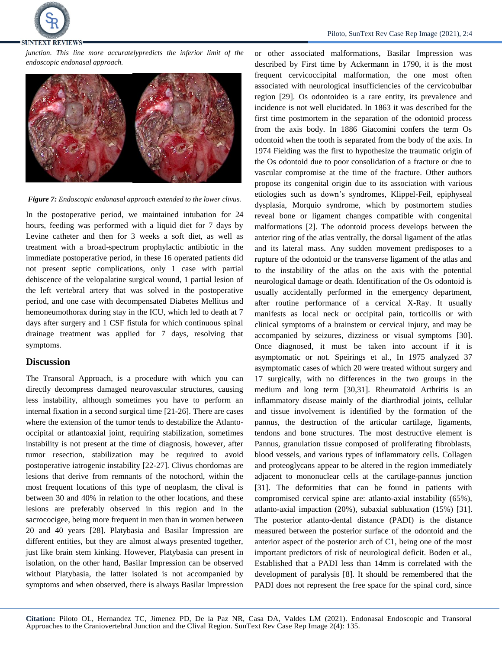

*junction. This line more accuratelypredicts the inferior limit of the endoscopic endonasal approach.*



*Figure 7: Endoscopic endonasal approach extended to the lower clivus.*

In the postoperative period, we maintained intubation for 24 hours, feeding was performed with a liquid diet for 7 days by Levine catheter and then for 3 weeks a soft diet, as well as treatment with a broad-spectrum prophylactic antibiotic in the immediate postoperative period, in these 16 operated patients did not present septic complications, only 1 case with partial dehiscence of the velopalatine surgical wound, 1 partial lesion of the left vertebral artery that was solved in the postoperative period, and one case with decompensated Diabetes Mellitus and hemoneumothorax during stay in the ICU, which led to death at 7 days after surgery and 1 CSF fistula for which continuous spinal drainage treatment was applied for 7 days, resolving that symptoms.

#### **Discussion**

The Transoral Approach, is a procedure with which you can directly decompress damaged neurovascular structures, causing less instability, although sometimes you have to perform an internal fixation in a second surgical time [21-26]. There are cases where the extension of the tumor tends to destabilize the Atlantooccipital or atlantoaxial joint, requiring stabilization, sometimes instability is not present at the time of diagnosis, however, after tumor resection, stabilization may be required to avoid postoperative iatrogenic instability [22-27]. Clivus chordomas are lesions that derive from remnants of the notochord, within the most frequent locations of this type of neoplasm, the clival is between 30 and 40% in relation to the other locations, and these lesions are preferably observed in this region and in the sacrococigee, being more frequent in men than in women between 20 and 40 years [28]. Platybasia and Basilar Impression are different entities, but they are almost always presented together, just like brain stem kinking. However, Platybasia can present in isolation, on the other hand, Basilar Impression can be observed without Platybasia, the latter isolated is not accompanied by symptoms and when observed, there is always Basilar Impression

or other associated malformations, Basilar Impression was described by First time by Ackermann in 1790, it is the most frequent cervicoccipital malformation, the one most often associated with neurological insufficiencies of the cervicobulbar region [29]. Os odontoideo is a rare entity, its prevalence and incidence is not well elucidated. In 1863 it was described for the first time postmortem in the separation of the odontoid process from the axis body. In 1886 Giacomini confers the term Os odontoid when the tooth is separated from the body of the axis. In 1974 Fielding was the first to hypothesize the traumatic origin of the Os odontoid due to poor consolidation of a fracture or due to vascular compromise at the time of the fracture. Other authors propose its congenital origin due to its association with various etiologies such as down's syndromes, Klippel-Feil, epiphyseal dysplasia, Morquio syndrome, which by postmortem studies reveal bone or ligament changes compatible with congenital malformations [2]. The odontoid process develops between the anterior ring of the atlas ventrally, the dorsal ligament of the atlas and its lateral mass. Any sudden movement predisposes to a rupture of the odontoid or the transverse ligament of the atlas and to the instability of the atlas on the axis with the potential neurological damage or death. Identification of the Os odontoid is usually accidentally performed in the emergency department, after routine performance of a cervical X-Ray. It usually manifests as local neck or occipital pain, torticollis or with clinical symptoms of a brainstem or cervical injury, and may be accompanied by seizures, dizziness or visual symptoms [30]. Once diagnosed, it must be taken into account if it is asymptomatic or not. Speirings et al., In 1975 analyzed 37 asymptomatic cases of which 20 were treated without surgery and 17 surgically, with no differences in the two groups in the medium and long term [30,31]. Rheumatoid Arthritis is an inflammatory disease mainly of the diarthrodial joints, cellular and tissue involvement is identified by the formation of the pannus, the destruction of the articular cartilage, ligaments, tendons and bone structures. The most destructive element is Pannus, granulation tissue composed of proliferating fibroblasts, blood vessels, and various types of inflammatory cells. Collagen and proteoglycans appear to be altered in the region immediately adjacent to mononuclear cells at the cartilage-pannus junction [31]. The deformities that can be found in patients with compromised cervical spine are: atlanto-axial instability (65%), atlanto-axial impaction (20%), subaxial subluxation (15%) [31]. The posterior atlanto-dental distance (PADI) is the distance measured between the posterior surface of the odontoid and the anterior aspect of the posterior arch of C1, being one of the most important predictors of risk of neurological deficit. Boden et al., Established that a PADI less than 14mm is correlated with the development of paralysis [8]. It should be remembered that the PADI does not represent the free space for the spinal cord, since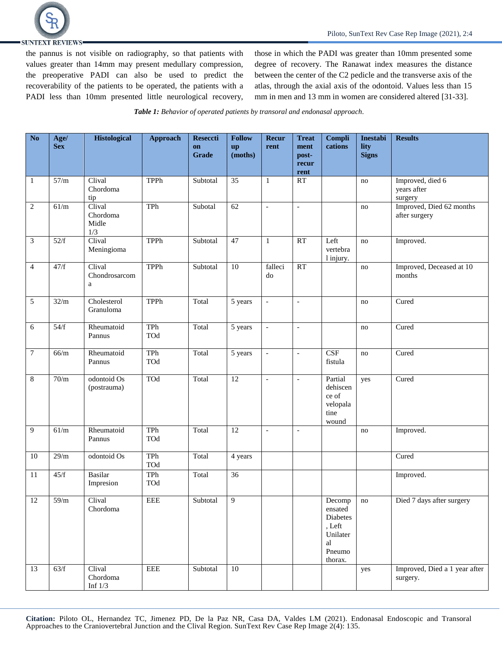

the pannus is not visible on radiography, so that patients with values greater than 14mm may present medullary compression, the preoperative PADI can also be used to predict the recoverability of the patients to be operated, the patients with a PADI less than 10mm presented little neurological recovery, those in which the PADI was greater than 10mm presented some degree of recovery. The Ranawat index measures the distance between the center of the C2 pedicle and the transverse axis of the atlas, through the axial axis of the odontoid. Values less than 15 mm in men and 13 mm in women are considered altered [31-33].

*Table 1: Behavior of operated patients by transoral and endonasal approach.*

| N <sub>o</sub>  | Age/<br><b>Sex</b> | <b>Histological</b>                | <b>Approach</b> | Reseccti<br>on<br>Grade | <b>Follow</b><br>up<br>(moths) | Recur<br>rent            | <b>Treat</b><br>ment<br>post-<br>recur<br>rent | Compli<br>cations                                                                   | Inestabi<br>lity<br><b>Signs</b> | <b>Results</b>                             |
|-----------------|--------------------|------------------------------------|-----------------|-------------------------|--------------------------------|--------------------------|------------------------------------------------|-------------------------------------------------------------------------------------|----------------------------------|--------------------------------------------|
| $\mathbf{1}$    | 57/m               | Clival<br>Chordoma<br>tip          | <b>TPPh</b>     | Subtotal                | 35                             | $\mathbf{1}$             | RT                                             |                                                                                     | no                               | Improved, died 6<br>years after<br>surgery |
| $\sqrt{2}$      | 61/m               | Clival<br>Chordoma<br>Midle<br>1/3 | TPh             | Subotal                 | 62                             | $\bar{\phantom{a}}$      | $\blacksquare$                                 |                                                                                     | no                               | Improved, Died 62 months<br>after surgery  |
| $\mathfrak{Z}$  | 52/f               | Clival<br>Meningioma               | TPPh            | Subtotal                | 47                             | 1                        | <b>RT</b>                                      | Left<br>vertebra<br>1 injury.                                                       | no                               | Improved.                                  |
| $\overline{4}$  | 47/f               | Clival<br>Chondrosarcom<br>a       | <b>TPPh</b>     | Subtotal                | $\overline{10}$                | falleci<br>do            | RT                                             |                                                                                     | $\mathop{\mathrm{no}}$           | Improved, Deceased at 10<br>months         |
| 5               | 32/m               | Cholesterol<br>Granuloma           | TPPh            | Total                   | 5 years                        | $\overline{a}$           | $\overline{a}$                                 |                                                                                     | no                               | Cured                                      |
| 6               | 54/f               | Rheumatoid<br>Pannus               | TPh<br>TOd      | Total                   | 5 years                        | $\overline{\phantom{a}}$ | $\blacksquare$                                 |                                                                                     | no                               | Cured                                      |
| $\tau$          | 66/m               | Rheumatoid<br>Pannus               | TPh<br>TOd      | Total                   | 5 years                        | $\overline{a}$           | $\mathbf{r}$                                   | CSF<br>fistula                                                                      | no                               | Cured                                      |
| 8               | 70/m               | odontoid Os<br>(postrauma)         | TOd             | Total                   | 12                             | $\overline{a}$           | $\overline{\phantom{a}}$                       | Partial<br>dehiscen<br>ce of<br>velopala<br>tine<br>wound                           | yes                              | Cured                                      |
| 9               | 61/m               | Rheumatoid<br>Pannus               | TPh<br>TOd      | Total                   | 12                             | $\overline{a}$           | $\overline{\phantom{a}}$                       |                                                                                     | no                               | Improved.                                  |
| 10              | 29/m               | odontoid Os                        | TPh<br>TOd      | Total                   | 4 years                        |                          |                                                |                                                                                     |                                  | Cured                                      |
| 11              | 45/f               | <b>Basilar</b><br>Impresion        | TPh<br>TOd      | Total                   | $\overline{36}$                |                          |                                                |                                                                                     |                                  | Improved.                                  |
| $\overline{12}$ | 59/m               | Clival<br>Chordoma                 | EEE             | Subtotal                | 9                              |                          |                                                | Decomp   no<br>ensated<br>Diabetes<br>, Left<br>Unilater<br>al<br>Pneumo<br>thorax. |                                  | Died 7 days after surgery                  |
| 13              | 63/f               | Clival<br>Chordoma<br>Inf $1/3$    | <b>EEE</b>      | Subtotal                | 10                             |                          |                                                |                                                                                     | yes                              | Improved, Died a 1 year after<br>surgery.  |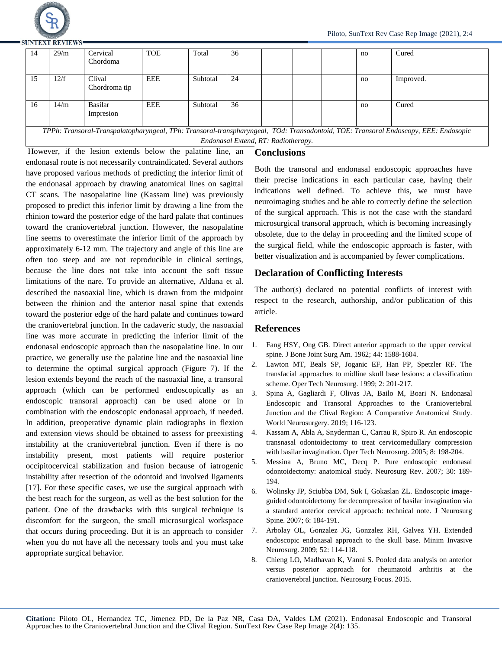

**SHINTEXT REVIEWS** 

|  | -14                                                                                                                                 | 29/m | Cervical<br>Chordoma    | <b>TOE</b> | Total    | 36 |  |  |  | no | Cured     |
|--|-------------------------------------------------------------------------------------------------------------------------------------|------|-------------------------|------------|----------|----|--|--|--|----|-----------|
|  | 15                                                                                                                                  | 12/f | Clival<br>Chordroma tip | EEE        | Subtotal | 24 |  |  |  | no | Improved. |
|  | 16                                                                                                                                  | 14/m | Basilar<br>Impresion    | EEE        | Subtotal | 36 |  |  |  | no | Cured     |
|  | TPPh: Transoral-Transpalatopharyngeal, TPh: Transoral-transpharyngeal, TOd: Transodontoid, TOE: Transoral Endoscopy, EEE: Endosopic |      |                         |            |          |    |  |  |  |    |           |

*Endonasal Extend, RT: Radiotherapy.*

## However, if the lesion extends below the palatine line, an endonasal route is not necessarily contraindicated. Several authors have proposed various methods of predicting the inferior limit of the endonasal approach by drawing anatomical lines on sagittal CT scans. The nasopalatine line (Kassam line) was previously proposed to predict this inferior limit by drawing a line from the rhinion toward the posterior edge of the hard palate that continues toward the craniovertebral junction. However, the nasopalatine line seems to overestimate the inferior limit of the approach by approximately 6-12 mm. The trajectory and angle of this line are often too steep and are not reproducible in clinical settings, because the line does not take into account the soft tissue limitations of the nare. To provide an alternative, Aldana et al. described the nasoaxial line, which is drawn from the midpoint between the rhinion and the anterior nasal spine that extends toward the posterior edge of the hard palate and continues toward the craniovertebral junction. In the cadaveric study, the nasoaxial line was more accurate in predicting the inferior limit of the endonasal endoscopic approach than the nasopalatine line. In our practice, we generally use the palatine line and the nasoaxial line to determine the optimal surgical approach (Figure 7). If the lesion extends beyond the reach of the nasoaxial line, a transoral approach (which can be performed endoscopically as an endoscopic transoral approach) can be used alone or in combination with the endoscopic endonasal approach, if needed. In addition, preoperative dynamic plain radiographs in flexion and extension views should be obtained to assess for preexisting instability at the craniovertebral junction. Even if there is no instability present, most patients will require posterior occipitocervical stabilization and fusion because of iatrogenic instability after resection of the odontoid and involved ligaments [17]. For these specific cases, we use the surgical approach with the best reach for the surgeon, as well as the best solution for the patient. One of the drawbacks with this surgical technique is discomfort for the surgeon, the small microsurgical workspace that occurs during proceeding. But it is an approach to consider 7. when you do not have all the necessary tools and you must take appropriate surgical behavior.

#### **Conclusions**

Both the transoral and endonasal endoscopic approaches have their precise indications in each particular case, having their indications well defined. To achieve this, we must have neuroimaging studies and be able to correctly define the selection of the surgical approach. This is not the case with the standard microsurgical transoral approach, which is becoming increasingly obsolete, due to the delay in proceeding and the limited scope of the surgical field, while the endoscopic approach is faster, with better visualization and is accompanied by fewer complications.

## **Declaration of Conflicting Interests**

The author(s) declared no potential conflicts of interest with respect to the research, authorship, and/or publication of this article.

## **References**

- 1. [Fang HSY, Ong GB. Direct anterior approach to the upper cervical](https://journals.lww.com/jbjsjournal/Abstract/1962/44080/Direct_Anterior_Approach_to_the_Upper_Cervical.8.aspx)  [spine. J Bone Joint Surg Am. 1962; 44: 1588-1604.](https://journals.lww.com/jbjsjournal/Abstract/1962/44080/Direct_Anterior_Approach_to_the_Upper_Cervical.8.aspx)
- 2. [Lawton MT, Beals SP, Joganic EF, Han PP, Spetzler RF. The](https://www.sciencedirect.com/science/article/abs/pii/S1092440X99800206)  [transfacial approaches to midline skull base lesions: a classification](https://www.sciencedirect.com/science/article/abs/pii/S1092440X99800206)  [scheme. Oper Tech Neurosurg. 1999; 2: 201-217.](https://www.sciencedirect.com/science/article/abs/pii/S1092440X99800206)
- 3. [Spina A, Gagliardi F, Olivas](https://www.sciencedirect.com/science/article/abs/pii/S1878875019324118) JA, Bailo M, Boari N. Endonasal [Endoscopic and Transoral Approaches to the Craniovertebral](https://www.sciencedirect.com/science/article/abs/pii/S1878875019324118)  Junction and the Clival [Region: A Comparative Anatomical Study.](https://www.sciencedirect.com/science/article/abs/pii/S1878875019324118)  [World Neurosurgery. 2019; 116-123.](https://www.sciencedirect.com/science/article/abs/pii/S1878875019324118)
- 4. [Kassam A, Abla A, Snyderman C, Carrau R, Spiro R. An endoscopic](https://www.sciencedirect.com/science/article/abs/pii/S1092440X05000757)  transnasal odontoidectomy to [treat cervicomedullary compression](https://www.sciencedirect.com/science/article/abs/pii/S1092440X05000757)  [with basilar invagination. Oper Tech Neurosurg.](https://www.sciencedirect.com/science/article/abs/pii/S1092440X05000757) 2005; 8: 198-204.
- 5. [Messina A, Bruno MC, Decq P. Pure endoscopic endonasal](https://link.springer.com/article/10.1007/s10143-007-0084-6)  [odontoidectomy: anatomical study. Neurosurg Rev.](https://link.springer.com/article/10.1007/s10143-007-0084-6) 2007; 30: 189- [194.](https://link.springer.com/article/10.1007/s10143-007-0084-6)
- 6. [Wolinsky JP, Sciubba DM, Suk I, Gokaslan ZL. Endoscopic image](https://thejns.org/spine/view/journals/j-neurosurg-spine/6/2/article-p184.xml)[guided odontoidectomy for decompression of basilar invagination via](https://thejns.org/spine/view/journals/j-neurosurg-spine/6/2/article-p184.xml)  [a standard anterior cervical approach: technical note. J Neurosurg](https://thejns.org/spine/view/journals/j-neurosurg-spine/6/2/article-p184.xml)  Spine. 2007; [6: 184-191.](https://thejns.org/spine/view/journals/j-neurosurg-spine/6/2/article-p184.xml)
- 7. [Arbolay OL, Gonzalez JG, Gonzalez RH,](https://www.thieme-connect.com/products/ejournals/abstract/10.1055/s-0028-1119414) Galvez YH. Extended [endoscopic endonasal approach to the skull](https://www.thieme-connect.com/products/ejournals/abstract/10.1055/s-0028-1119414) base. Minim Invasive [Neurosurg. 2009;](https://www.thieme-connect.com/products/ejournals/abstract/10.1055/s-0028-1119414) 52: 114-118.
- 8. Chieng LO, Madhavan K, Vanni [S. Pooled data analysis on anterior](https://thejns.org/focus/view/journals/neurosurg-focus/38/4/article-pE18.xml)  [versus posterior approach for rheumatoid arthritis at the](https://thejns.org/focus/view/journals/neurosurg-focus/38/4/article-pE18.xml)  [craniovertebral junction.](https://thejns.org/focus/view/journals/neurosurg-focus/38/4/article-pE18.xml) Neurosurg Focus. 2015.